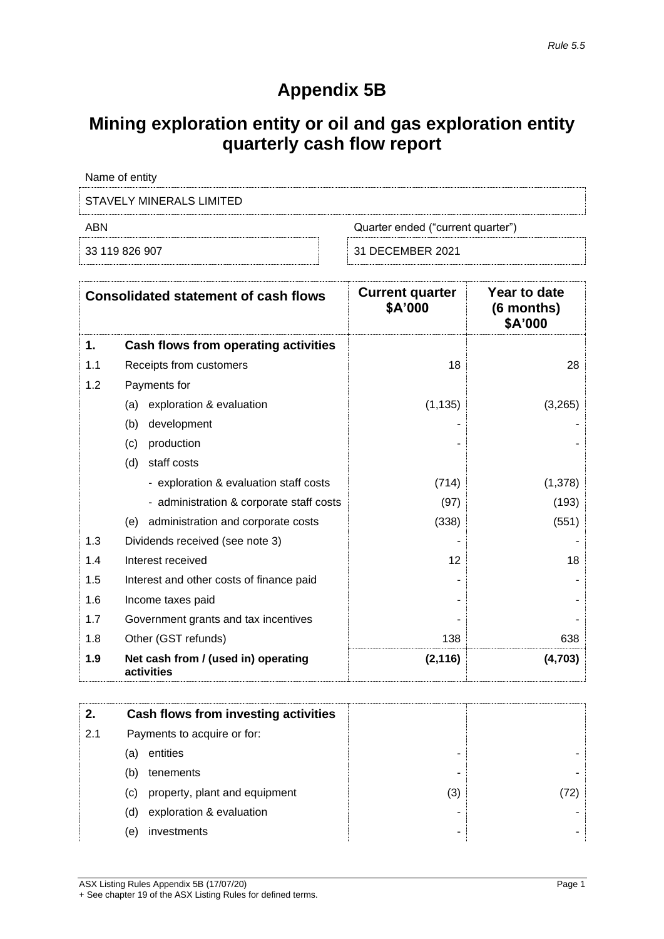## **Appendix 5B**

# **Mining exploration entity or oil and gas exploration entity quarterly cash flow report**

| Name of entity           |                                   |
|--------------------------|-----------------------------------|
| STAVELY MINERALS LIMITED |                                   |
| ABN                      | Quarter ended ("current quarter") |
| 33 119 826 907           | 31 DECEMBER 2021                  |

|     | <b>Consolidated statement of cash flows</b>       | <b>Current quarter</b><br>\$A'000 | Year to date<br>(6 months)<br>\$A'000 |
|-----|---------------------------------------------------|-----------------------------------|---------------------------------------|
| 1.  | Cash flows from operating activities              |                                   |                                       |
| 1.1 | Receipts from customers                           | 18                                | 28                                    |
| 1.2 | Payments for                                      |                                   |                                       |
|     | exploration & evaluation<br>(a)                   | (1, 135)                          | (3,265)                               |
|     | (b)<br>development                                |                                   |                                       |
|     | production<br>(c)                                 |                                   |                                       |
|     | staff costs<br>(d)                                |                                   |                                       |
|     | - exploration & evaluation staff costs            | (714)                             | (1,378)                               |
|     | - administration & corporate staff costs          | (97)                              | (193)                                 |
|     | administration and corporate costs<br>(e)         | (338)                             | (551)                                 |
| 1.3 | Dividends received (see note 3)                   |                                   |                                       |
| 1.4 | Interest received                                 | 12                                | 18                                    |
| 1.5 | Interest and other costs of finance paid          |                                   |                                       |
| 1.6 | Income taxes paid                                 |                                   |                                       |
| 1.7 | Government grants and tax incentives              |                                   |                                       |
| 1.8 | Other (GST refunds)                               | 138                               | 638                                   |
| 1.9 | Net cash from / (used in) operating<br>activities | (2, 116)                          | (4,703)                               |

| 2.  |     | Cash flows from investing activities |     |  |
|-----|-----|--------------------------------------|-----|--|
| 2.1 |     | Payments to acquire or for:          |     |  |
|     | (a) | entities                             | -   |  |
|     | (b) | tenements                            | -   |  |
|     | (C) | property, plant and equipment        | (3) |  |
|     | (d) | exploration & evaluation             | -   |  |
|     | (e) | investments                          | -   |  |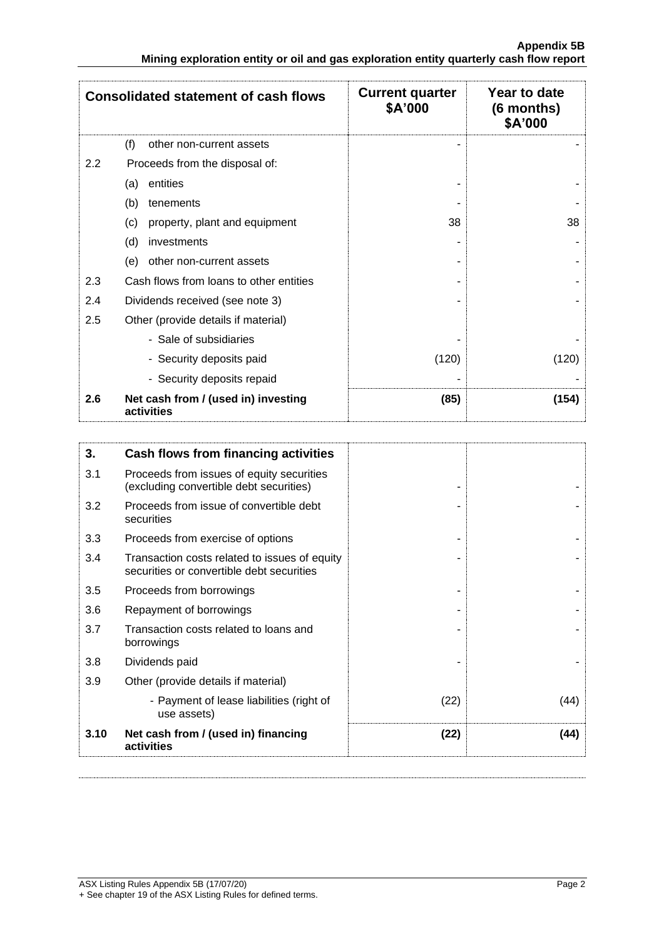|                  | <b>Consolidated statement of cash flows</b>       | <b>Current quarter</b><br>\$A'000 | Year to date<br>(6 months)<br>\$A'000 |
|------------------|---------------------------------------------------|-----------------------------------|---------------------------------------|
|                  | (f)<br>other non-current assets                   |                                   |                                       |
| $2.2\phantom{0}$ | Proceeds from the disposal of:                    |                                   |                                       |
|                  | entities<br>(a)                                   |                                   |                                       |
|                  | (b)<br>tenements                                  |                                   |                                       |
|                  | (c)<br>property, plant and equipment              | 38                                | 38                                    |
|                  | (d)<br>investments                                |                                   |                                       |
|                  | other non-current assets<br>(e)                   |                                   |                                       |
| 2.3              | Cash flows from loans to other entities           |                                   |                                       |
| 2.4              | Dividends received (see note 3)                   |                                   |                                       |
| 2.5              | Other (provide details if material)               |                                   |                                       |
|                  | - Sale of subsidiaries                            |                                   |                                       |
|                  | - Security deposits paid                          | (120)                             | (120)                                 |
|                  | - Security deposits repaid                        |                                   |                                       |
| 2.6              | Net cash from / (used in) investing<br>activities | (85)                              | (154)                                 |

| 3.   | Cash flows from financing activities                                                       |      |      |
|------|--------------------------------------------------------------------------------------------|------|------|
| 3.1  | Proceeds from issues of equity securities<br>(excluding convertible debt securities)       |      |      |
| 3.2  | Proceeds from issue of convertible debt<br>securities                                      |      |      |
| 3.3  | Proceeds from exercise of options                                                          |      |      |
| 3.4  | Transaction costs related to issues of equity<br>securities or convertible debt securities |      |      |
| 3.5  | Proceeds from borrowings                                                                   |      |      |
| 3.6  | Repayment of borrowings                                                                    |      |      |
| 3.7  | Transaction costs related to loans and<br>borrowings                                       |      |      |
| 3.8  | Dividends paid                                                                             |      |      |
| 3.9  | Other (provide details if material)                                                        |      |      |
|      | - Payment of lease liabilities (right of<br>use assets)                                    | (22) | (44) |
| 3.10 | Net cash from / (used in) financing<br>activities                                          | (22) | (44) |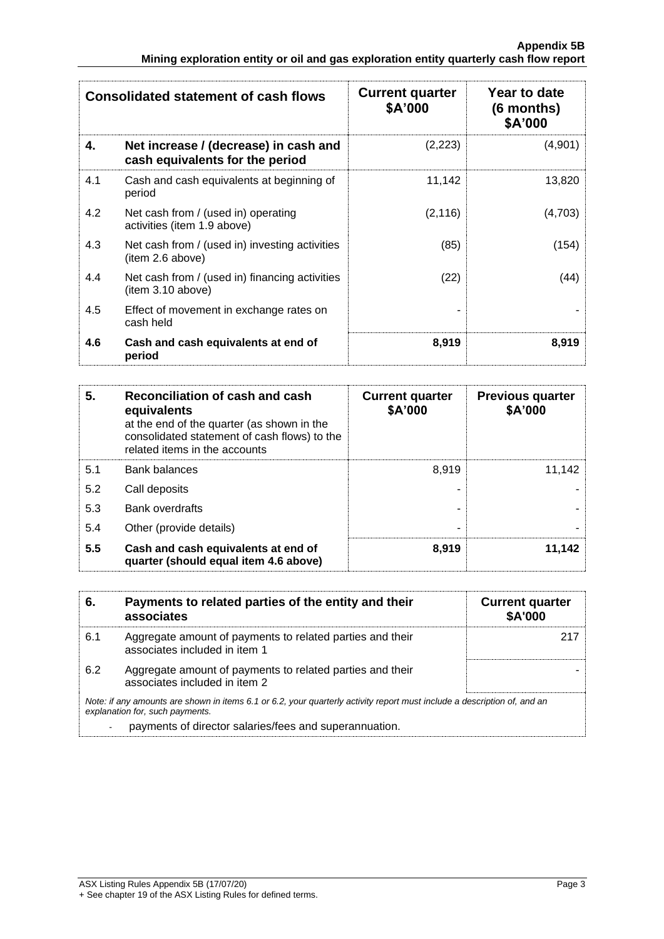|     | <b>Consolidated statement of cash flows</b>                              | <b>Current quarter</b><br>\$A'000 | Year to date<br>$(6$ months)<br>\$A'000 |
|-----|--------------------------------------------------------------------------|-----------------------------------|-----------------------------------------|
| 4.  | Net increase / (decrease) in cash and<br>cash equivalents for the period | (2,223)                           | (4,901)                                 |
| 4.1 | Cash and cash equivalents at beginning of<br>period                      | 11,142                            | 13,820                                  |
| 4.2 | Net cash from / (used in) operating<br>activities (item 1.9 above)       | (2, 116)                          | (4,703)                                 |
| 4.3 | Net cash from / (used in) investing activities<br>(item 2.6 above)       | (85)                              | (154)                                   |
| 4.4 | Net cash from / (used in) financing activities<br>(item 3.10 above)      | (22)                              | (44)                                    |
| 4.5 | Effect of movement in exchange rates on<br>cash held                     |                                   |                                         |
| 4.6 | Cash and cash equivalents at end of<br>period                            | 8,919                             | 8,919                                   |

| 5.  | Reconciliation of cash and cash<br>equivalents<br>at the end of the quarter (as shown in the<br>consolidated statement of cash flows) to the<br>related items in the accounts | <b>Current quarter</b><br>\$A'000 | <b>Previous quarter</b><br>\$A'000 |
|-----|-------------------------------------------------------------------------------------------------------------------------------------------------------------------------------|-----------------------------------|------------------------------------|
| 5.1 | <b>Bank balances</b>                                                                                                                                                          | 8.919                             | 11.142                             |
| 5.2 | Call deposits                                                                                                                                                                 |                                   |                                    |
| 5.3 | <b>Bank overdrafts</b>                                                                                                                                                        |                                   |                                    |
| 5.4 | Other (provide details)                                                                                                                                                       |                                   |                                    |
| 5.5 | Cash and cash equivalents at end of<br>quarter (should equal item 4.6 above)                                                                                                  | 8,919                             | 11,142                             |

| 6.  | Payments to related parties of the entity and their<br>associates                                                                                           | <b>Current quarter</b><br><b>\$A'000</b> |
|-----|-------------------------------------------------------------------------------------------------------------------------------------------------------------|------------------------------------------|
| 6.1 | Aggregate amount of payments to related parties and their<br>associates included in item 1                                                                  | 217                                      |
| 6.2 | Aggregate amount of payments to related parties and their<br>associates included in item 2                                                                  |                                          |
|     | Note: if any amounts are shown in items 6.1 or 6.2, your quarterly activity report must include a description of, and an<br>explanation for, such payments. |                                          |
|     | payments of director salaries/fees and superannuation.                                                                                                      |                                          |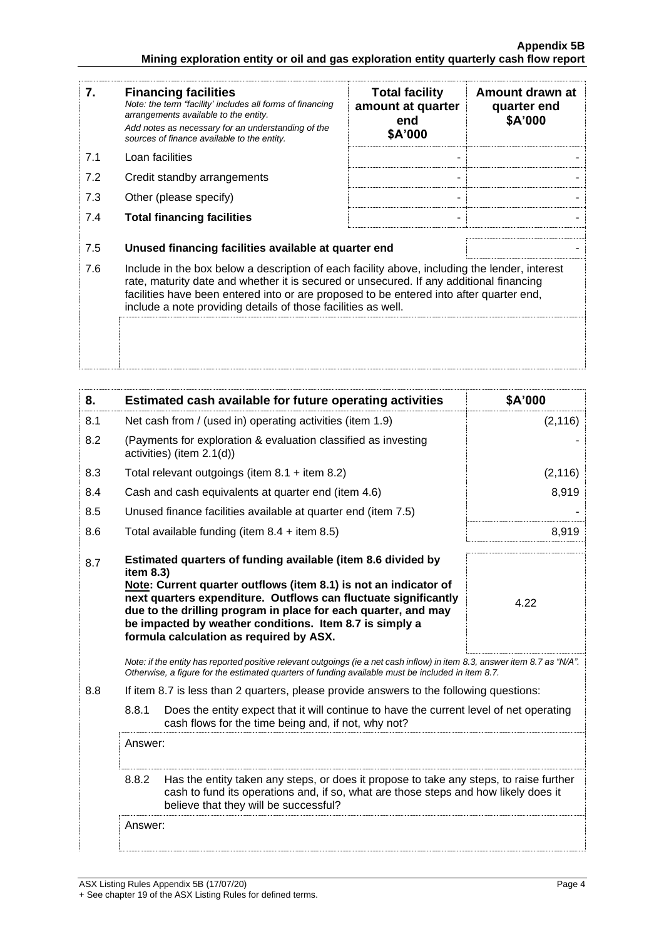| 7.  | <b>Financing facilities</b><br>Note: the term "facility' includes all forms of financing<br>arrangements available to the entity.<br>Add notes as necessary for an understanding of the<br>sources of finance available to the entity.                                                                                                               | <b>Total facility</b><br>amount at quarter<br>end<br>\$A'000 | Amount drawn at<br>quarter end<br>\$A'000 |
|-----|------------------------------------------------------------------------------------------------------------------------------------------------------------------------------------------------------------------------------------------------------------------------------------------------------------------------------------------------------|--------------------------------------------------------------|-------------------------------------------|
| 7.1 | Loan facilities                                                                                                                                                                                                                                                                                                                                      |                                                              |                                           |
| 7.2 | Credit standby arrangements                                                                                                                                                                                                                                                                                                                          |                                                              |                                           |
| 7.3 | Other (please specify)                                                                                                                                                                                                                                                                                                                               |                                                              |                                           |
| 7.4 | <b>Total financing facilities</b>                                                                                                                                                                                                                                                                                                                    |                                                              |                                           |
| 7.5 | Unused financing facilities available at quarter end                                                                                                                                                                                                                                                                                                 |                                                              |                                           |
| 7.6 | Include in the box below a description of each facility above, including the lender, interest<br>rate, maturity date and whether it is secured or unsecured. If any additional financing<br>facilities have been entered into or are proposed to be entered into after quarter end,<br>include a note providing details of those facilities as well. |                                                              |                                           |
|     |                                                                                                                                                                                                                                                                                                                                                      |                                                              |                                           |

| 8.  | Estimated cash available for future operating activities                                                                                                                                                                                                                                                                                                                                 | \$A'000  |
|-----|------------------------------------------------------------------------------------------------------------------------------------------------------------------------------------------------------------------------------------------------------------------------------------------------------------------------------------------------------------------------------------------|----------|
| 8.1 | Net cash from / (used in) operating activities (item 1.9)                                                                                                                                                                                                                                                                                                                                | (2, 116) |
| 8.2 | (Payments for exploration & evaluation classified as investing<br>activities) (item 2.1(d))                                                                                                                                                                                                                                                                                              |          |
| 8.3 | Total relevant outgoings (item $8.1 +$ item $8.2$ )                                                                                                                                                                                                                                                                                                                                      | (2, 116) |
| 8.4 | Cash and cash equivalents at quarter end (item 4.6)                                                                                                                                                                                                                                                                                                                                      | 8,919    |
| 8.5 | Unused finance facilities available at quarter end (item 7.5)                                                                                                                                                                                                                                                                                                                            |          |
| 8.6 | Total available funding (item $8.4 +$ item $8.5$ )                                                                                                                                                                                                                                                                                                                                       | 8,919    |
| 8.7 | Estimated quarters of funding available (item 8.6 divided by<br>item 8.3)<br>Note: Current quarter outflows (item 8.1) is not an indicator of<br>next quarters expenditure. Outflows can fluctuate significantly<br>due to the drilling program in place for each quarter, and may<br>be impacted by weather conditions. Item 8.7 is simply a<br>formula calculation as required by ASX. | 4.22     |
|     | Note: if the entity has reported positive relevant outgoings (ie a net cash inflow) in item 8.3, answer item 8.7 as "N/A".<br>Otherwise, a figure for the estimated quarters of funding available must be included in item 8.7.                                                                                                                                                          |          |
| 8.8 | If item 8.7 is less than 2 quarters, please provide answers to the following questions:                                                                                                                                                                                                                                                                                                  |          |
|     | 8.8.1<br>Does the entity expect that it will continue to have the current level of net operating<br>cash flows for the time being and, if not, why not?                                                                                                                                                                                                                                  |          |
|     | Answer:                                                                                                                                                                                                                                                                                                                                                                                  |          |
|     | 8.8.2<br>Has the entity taken any steps, or does it propose to take any steps, to raise further<br>cash to fund its operations and, if so, what are those steps and how likely does it<br>believe that they will be successful?                                                                                                                                                          |          |
|     | Answer:                                                                                                                                                                                                                                                                                                                                                                                  |          |